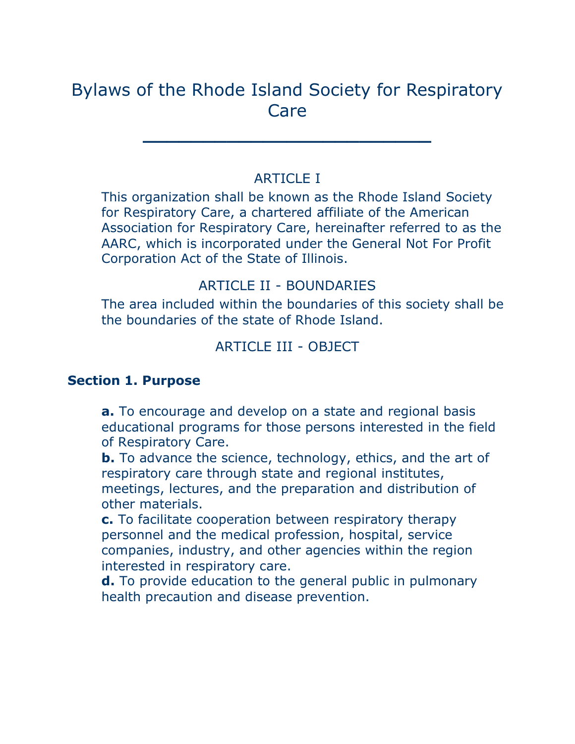# Bylaws of the Rhode Island Society for Respiratory Care

**\_\_\_\_\_\_\_\_\_\_\_\_\_\_\_\_\_\_\_\_\_\_\_\_**

# ARTICLE I

This organization shall be known as the Rhode Island Society for Respiratory Care, a chartered affiliate of the American Association for Respiratory Care, hereinafter referred to as the AARC, which is incorporated under the General Not For Profit Corporation Act of the State of Illinois.

# ARTICLE II - BOUNDARIES

The area included within the boundaries of this society shall be the boundaries of the state of Rhode Island.

# ARTICLE III - OBJECT

#### **Section 1. Purpose**

**a.** To encourage and develop on a state and regional basis educational programs for those persons interested in the field of Respiratory Care.

**b.** To advance the science, technology, ethics, and the art of respiratory care through state and regional institutes, meetings, lectures, and the preparation and distribution of other materials.

**c.** To facilitate cooperation between respiratory therapy personnel and the medical profession, hospital, service companies, industry, and other agencies within the region interested in respiratory care.

**d.** To provide education to the general public in pulmonary health precaution and disease prevention.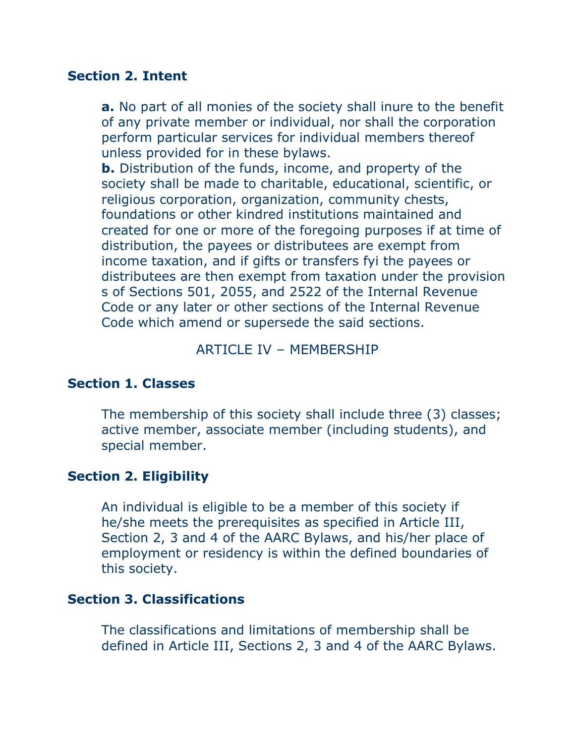#### **Section 2. Intent**

**a.** No part of all monies of the society shall inure to the benefit of any private member or individual, nor shall the corporation perform particular services for individual members thereof unless provided for in these bylaws.

**b.** Distribution of the funds, income, and property of the society shall be made to charitable, educational, scientific, or religious corporation, organization, community chests, foundations or other kindred institutions maintained and created for one or more of the foregoing purposes if at time of distribution, the payees or distributees are exempt from income taxation, and if gifts or transfers fyi the payees or distributees are then exempt from taxation under the provision s of Sections 501, 2055, and 2522 of the Internal Revenue Code or any later or other sections of the Internal Revenue Code which amend or supersede the said sections.

#### ARTICLE IV – MEMBERSHIP

#### **Section 1. Classes**

The membership of this society shall include three (3) classes; active member, associate member (including students), and special member.

#### **Section 2. Eligibility**

An individual is eligible to be a member of this society if he/she meets the prerequisites as specified in Article III, Section 2, 3 and 4 of the AARC Bylaws, and his/her place of employment or residency is within the defined boundaries of this society.

#### **Section 3. Classifications**

The classifications and limitations of membership shall be defined in Article III, Sections 2, 3 and 4 of the AARC Bylaws.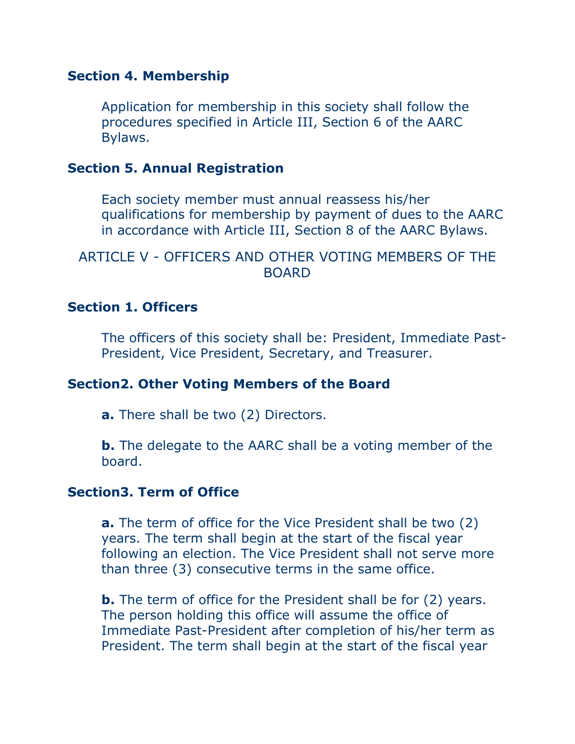#### **Section 4. Membership**

Application for membership in this society shall follow the procedures specified in Article III, Section 6 of the AARC Bylaws.

# **Section 5. Annual Registration**

Each society member must annual reassess his/her qualifications for membership by payment of dues to the AARC in accordance with Article III, Section 8 of the AARC Bylaws.

# ARTICLE V - OFFICERS AND OTHER VOTING MEMBERS OF THE BOARD

#### **Section 1. Officers**

The officers of this society shall be: President, Immediate Past-President, Vice President, Secretary, and Treasurer.

#### **Section2. Other Voting Members of the Board**

**a.** There shall be two (2) Directors.

**b.** The delegate to the AARC shall be a voting member of the board.

# **Section3. Term of Office**

**a.** The term of office for the Vice President shall be two (2) years. The term shall begin at the start of the fiscal year following an election. The Vice President shall not serve more than three (3) consecutive terms in the same office.

**b.** The term of office for the President shall be for (2) years. The person holding this office will assume the office of Immediate Past-President after completion of his/her term as President. The term shall begin at the start of the fiscal year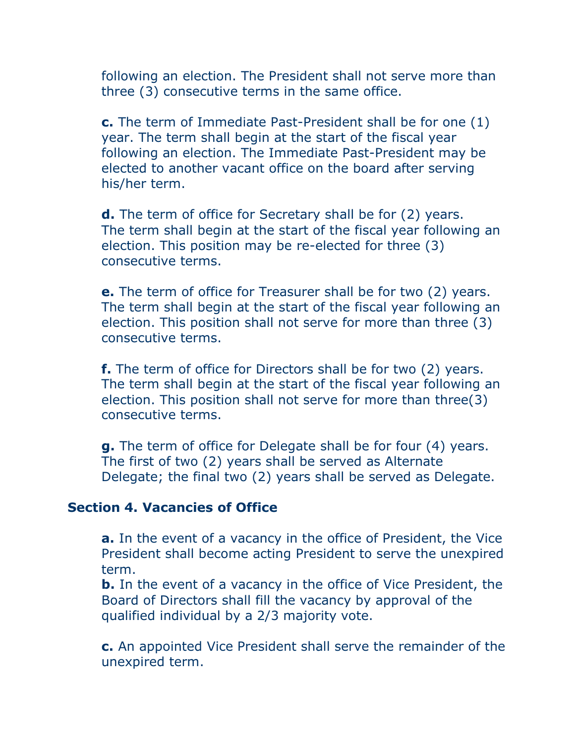following an election. The President shall not serve more than three (3) consecutive terms in the same office.

**c.** The term of Immediate Past-President shall be for one (1) year. The term shall begin at the start of the fiscal year following an election. The Immediate Past-President may be elected to another vacant office on the board after serving his/her term.

**d.** The term of office for Secretary shall be for (2) years. The term shall begin at the start of the fiscal year following an election. This position may be re-elected for three (3) consecutive terms.

**e.** The term of office for Treasurer shall be for two (2) years. The term shall begin at the start of the fiscal year following an election. This position shall not serve for more than three (3) consecutive terms.

**f.** The term of office for Directors shall be for two (2) years. The term shall begin at the start of the fiscal year following an election. This position shall not serve for more than three(3) consecutive terms.

**g.** The term of office for Delegate shall be for four (4) years. The first of two (2) years shall be served as Alternate Delegate; the final two (2) years shall be served as Delegate.

#### **Section 4. Vacancies of Office**

**a.** In the event of a vacancy in the office of President, the Vice President shall become acting President to serve the unexpired term.

**b.** In the event of a vacancy in the office of Vice President, the Board of Directors shall fill the vacancy by approval of the qualified individual by a 2/3 majority vote.

**c.** An appointed Vice President shall serve the remainder of the unexpired term.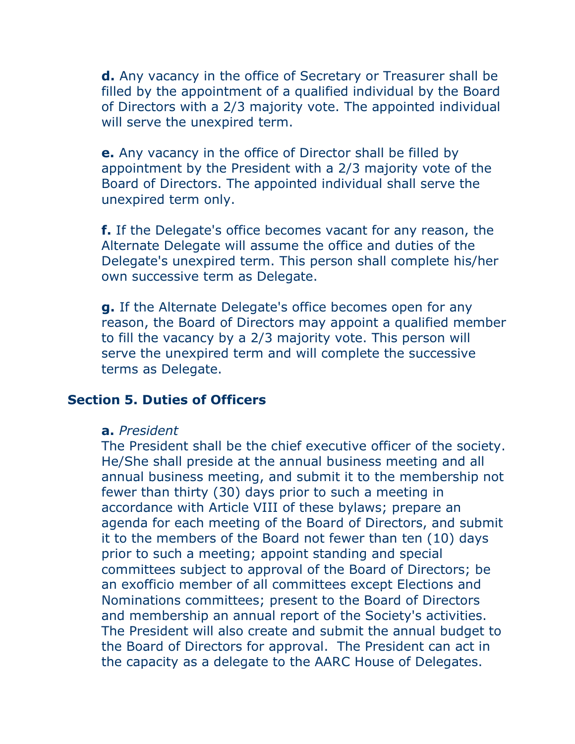**d.** Any vacancy in the office of Secretary or Treasurer shall be filled by the appointment of a qualified individual by the Board of Directors with a 2/3 majority vote. The appointed individual will serve the unexpired term.

**e.** Any vacancy in the office of Director shall be filled by appointment by the President with a 2/3 majority vote of the Board of Directors. The appointed individual shall serve the unexpired term only.

**f.** If the Delegate's office becomes vacant for any reason, the Alternate Delegate will assume the office and duties of the Delegate's unexpired term. This person shall complete his/her own successive term as Delegate.

**g.** If the Alternate Delegate's office becomes open for any reason, the Board of Directors may appoint a qualified member to fill the vacancy by a 2/3 majority vote. This person will serve the unexpired term and will complete the successive terms as Delegate.

#### **Section 5. Duties of Officers**

#### **a.** *President*

The President shall be the chief executive officer of the society. He/She shall preside at the annual business meeting and all annual business meeting, and submit it to the membership not fewer than thirty (30) days prior to such a meeting in accordance with Article VIII of these bylaws; prepare an agenda for each meeting of the Board of Directors, and submit it to the members of the Board not fewer than ten (10) days prior to such a meeting; appoint standing and special committees subject to approval of the Board of Directors; be an exofficio member of all committees except Elections and Nominations committees; present to the Board of Directors and membership an annual report of the Society's activities. The President will also create and submit the annual budget to the Board of Directors for approval. The President can act in the capacity as a delegate to the AARC House of Delegates.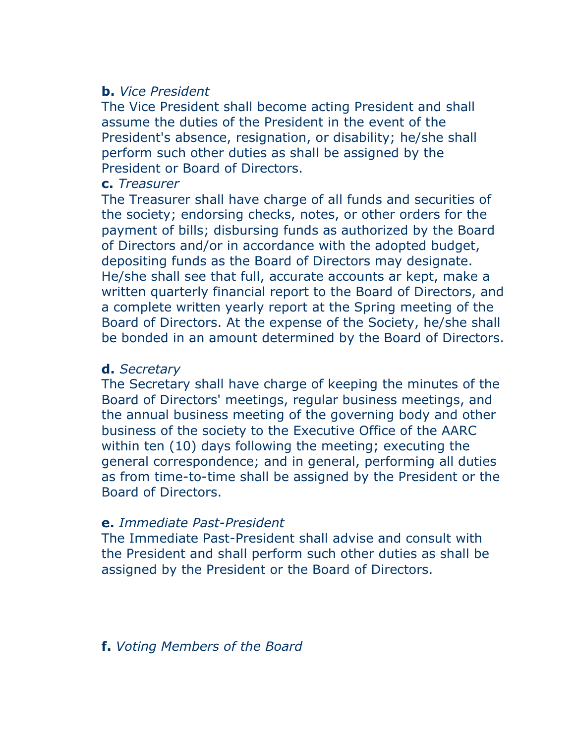# **b.** *Vice President*

The Vice President shall become acting President and shall assume the duties of the President in the event of the President's absence, resignation, or disability; he/she shall perform such other duties as shall be assigned by the President or Board of Directors.

# **c.** *Treasurer*

The Treasurer shall have charge of all funds and securities of the society; endorsing checks, notes, or other orders for the payment of bills; disbursing funds as authorized by the Board of Directors and/or in accordance with the adopted budget, depositing funds as the Board of Directors may designate. He/she shall see that full, accurate accounts ar kept, make a written quarterly financial report to the Board of Directors, and a complete written yearly report at the Spring meeting of the Board of Directors. At the expense of the Society, he/she shall be bonded in an amount determined by the Board of Directors.

# **d.** *Secretary*

The Secretary shall have charge of keeping the minutes of the Board of Directors' meetings, regular business meetings, and the annual business meeting of the governing body and other business of the society to the Executive Office of the AARC within ten (10) days following the meeting; executing the general correspondence; and in general, performing all duties as from time-to-time shall be assigned by the President or the Board of Directors.

# **e.** *Immediate Past-President*

The Immediate Past-President shall advise and consult with the President and shall perform such other duties as shall be assigned by the President or the Board of Directors.

# **f.** *Voting Members of the Board*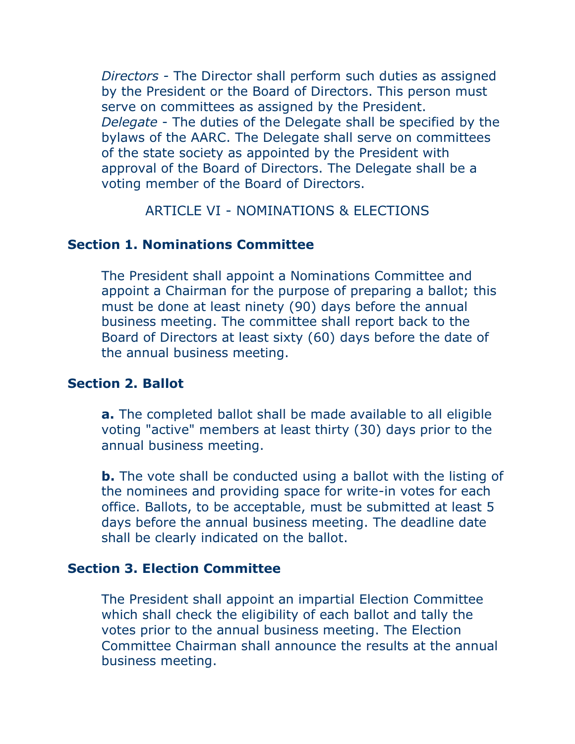*Directors -* The Director shall perform such duties as assigned by the President or the Board of Directors. This person must serve on committees as assigned by the President. *Delegate* - The duties of the Delegate shall be specified by the bylaws of the AARC. The Delegate shall serve on committees of the state society as appointed by the President with approval of the Board of Directors. The Delegate shall be a voting member of the Board of Directors.

ARTICLE VI - NOMINATIONS & ELECTIONS

# **Section 1. Nominations Committee**

The President shall appoint a Nominations Committee and appoint a Chairman for the purpose of preparing a ballot; this must be done at least ninety (90) days before the annual business meeting. The committee shall report back to the Board of Directors at least sixty (60) days before the date of the annual business meeting.

# **Section 2. Ballot**

**a.** The completed ballot shall be made available to all eligible voting "active" members at least thirty (30) days prior to the annual business meeting.

**b.** The vote shall be conducted using a ballot with the listing of the nominees and providing space for write-in votes for each office. Ballots, to be acceptable, must be submitted at least 5 days before the annual business meeting. The deadline date shall be clearly indicated on the ballot.

# **Section 3. Election Committee**

The President shall appoint an impartial Election Committee which shall check the eligibility of each ballot and tally the votes prior to the annual business meeting. The Election Committee Chairman shall announce the results at the annual business meeting.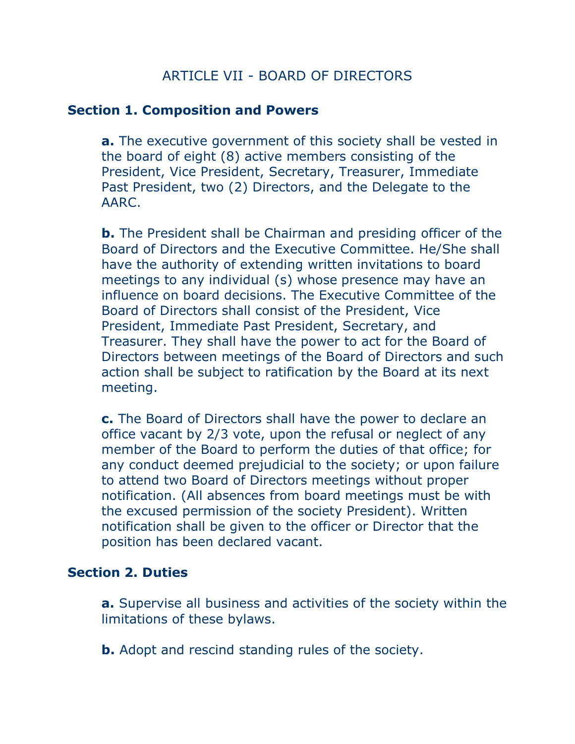# ARTICLE VII - BOARD OF DIRECTORS

#### **Section 1. Composition and Powers**

**a.** The executive government of this society shall be vested in the board of eight (8) active members consisting of the President, Vice President, Secretary, Treasurer, Immediate Past President, two (2) Directors, and the Delegate to the AARC.

**b.** The President shall be Chairman and presiding officer of the Board of Directors and the Executive Committee. He/She shall have the authority of extending written invitations to board meetings to any individual (s) whose presence may have an influence on board decisions. The Executive Committee of the Board of Directors shall consist of the President, Vice President, Immediate Past President, Secretary, and Treasurer. They shall have the power to act for the Board of Directors between meetings of the Board of Directors and such action shall be subject to ratification by the Board at its next meeting.

**c.** The Board of Directors shall have the power to declare an office vacant by 2/3 vote, upon the refusal or neglect of any member of the Board to perform the duties of that office; for any conduct deemed prejudicial to the society; or upon failure to attend two Board of Directors meetings without proper notification. (All absences from board meetings must be with the excused permission of the society President). Written notification shall be given to the officer or Director that the position has been declared vacant.

#### **Section 2. Duties**

**a.** Supervise all business and activities of the society within the limitations of these bylaws.

**b.** Adopt and rescind standing rules of the society.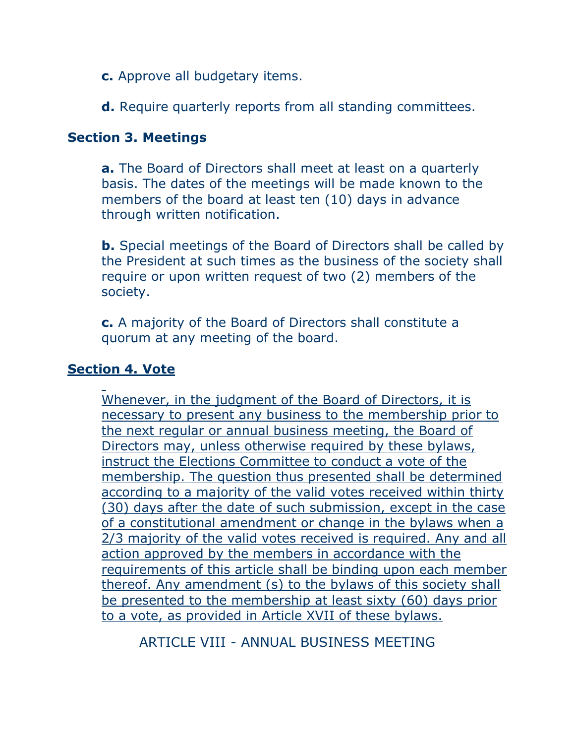- **c.** Approve all budgetary items.
- **d.** Require quarterly reports from all standing committees.

#### **Section 3. Meetings**

**a.** The Board of Directors shall meet at least on a quarterly basis. The dates of the meetings will be made known to the members of the board at least ten (10) days in advance through written notification.

**b.** Special meetings of the Board of Directors shall be called by the President at such times as the business of the society shall require or upon written request of two (2) members of the society.

**c.** A majority of the Board of Directors shall constitute a quorum at any meeting of the board.

#### **Section 4. Vote**

Whenever, in the judgment of the Board of Directors, it is necessary to present any business to the membership prior to the next regular or annual business meeting, the Board of Directors may, unless otherwise required by these bylaws, instruct the Elections Committee to conduct a vote of the membership. The question thus presented shall be determined according to a majority of the valid votes received within thirty (30) days after the date of such submission, except in the case of a constitutional amendment or change in the bylaws when a 2/3 majority of the valid votes received is required. Any and all action approved by the members in accordance with the requirements of this article shall be binding upon each member thereof. Any amendment (s) to the bylaws of this society shall be presented to the membership at least sixty (60) days prior to a vote, as provided in Article XVII of these bylaws.

ARTICLE VIII - ANNUAL BUSINESS MEETING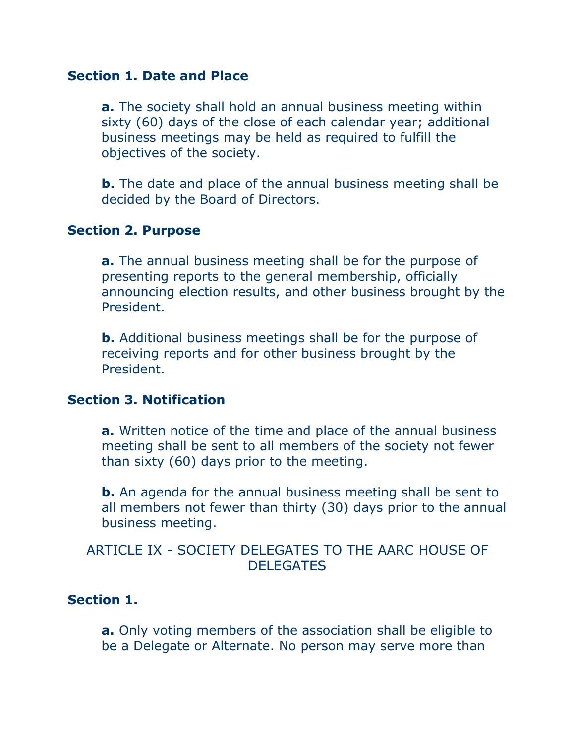#### **Section 1. Date and Place**

**a.** The society shall hold an annual business meeting within sixty (60) days of the close of each calendar year; additional business meetings may be held as required to fulfill the objectives of the society.

**b.** The date and place of the annual business meeting shall be decided by the Board of Directors.

#### **Section 2. Purpose**

**a.** The annual business meeting shall be for the purpose of presenting reports to the general membership, officially announcing election results, and other business brought by the President.

**b.** Additional business meetings shall be for the purpose of receiving reports and for other business brought by the President.

#### **Section 3. Notification**

**a.** Written notice of the time and place of the annual business meeting shall be sent to all members of the society not fewer than sixty (60) days prior to the meeting.

**b.** An agenda for the annual business meeting shall be sent to all members not fewer than thirty (30) days prior to the annual business meeting.

# ARTICLE IX - SOCIETY DELEGATES TO THE AARC HOUSE OF DELEGATES

#### **Section 1.**

**a.** Only voting members of the association shall be eligible to be a Delegate or Alternate. No person may serve more than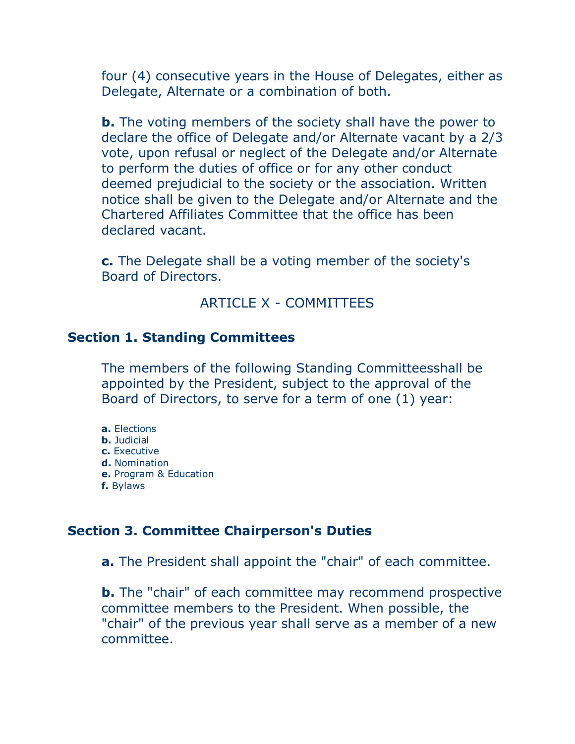four (4) consecutive years in the House of Delegates, either as Delegate, Alternate or a combination of both.

**b.** The voting members of the society shall have the power to declare the office of Delegate and/or Alternate vacant by a 2/3 vote, upon refusal or neglect of the Delegate and/or Alternate to perform the duties of office or for any other conduct deemed prejudicial to the society or the association. Written notice shall be given to the Delegate and/or Alternate and the Chartered Affiliates Committee that the office has been declared vacant.

**c.** The Delegate shall be a voting member of the society's Board of Directors.

# ARTICLE X - COMMITTEES

#### **Section 1. Standing Committees**

The members of the following Standing Committeesshall be appointed by the President, subject to the approval of the Board of Directors, to serve for a term of one (1) year:

- **a.** Elections
- **b.** Judicial
- **c.** Executive
- **d.** Nomination
- **e.** Program & Education
- **f.** Bylaws

#### **Section 3. Committee Chairperson's Duties**

**a.** The President shall appoint the "chair" of each committee.

**b.** The "chair" of each committee may recommend prospective committee members to the President. When possible, the "chair" of the previous year shall serve as a member of a new committee.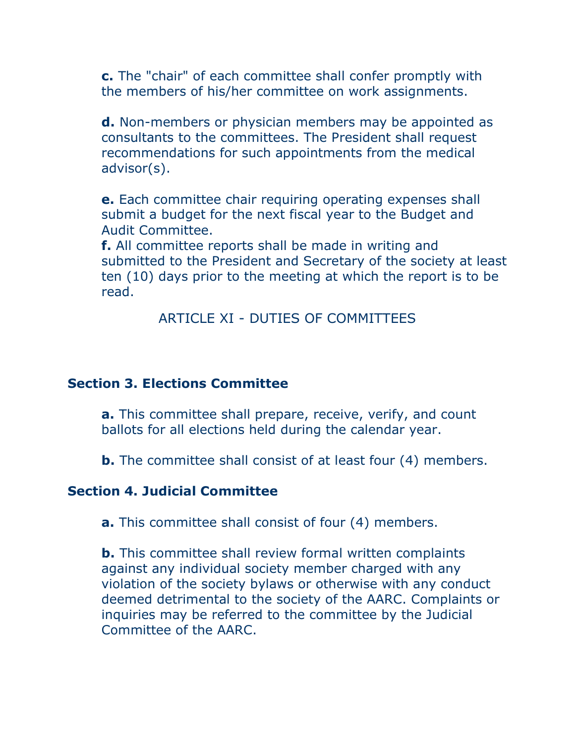**c.** The "chair" of each committee shall confer promptly with the members of his/her committee on work assignments.

**d.** Non-members or physician members may be appointed as consultants to the committees. The President shall request recommendations for such appointments from the medical advisor(s).

**e.** Each committee chair requiring operating expenses shall submit a budget for the next fiscal year to the Budget and Audit Committee.

**f.** All committee reports shall be made in writing and submitted to the President and Secretary of the society at least ten (10) days prior to the meeting at which the report is to be read.

ARTICLE XI - DUTIES OF COMMITTEES

# **Section 3. Elections Committee**

**a.** This committee shall prepare, receive, verify, and count ballots for all elections held during the calendar year.

**b.** The committee shall consist of at least four (4) members.

#### **Section 4. Judicial Committee**

**a.** This committee shall consist of four (4) members.

**b.** This committee shall review formal written complaints against any individual society member charged with any violation of the society bylaws or otherwise with any conduct deemed detrimental to the society of the AARC. Complaints or inquiries may be referred to the committee by the Judicial Committee of the AARC.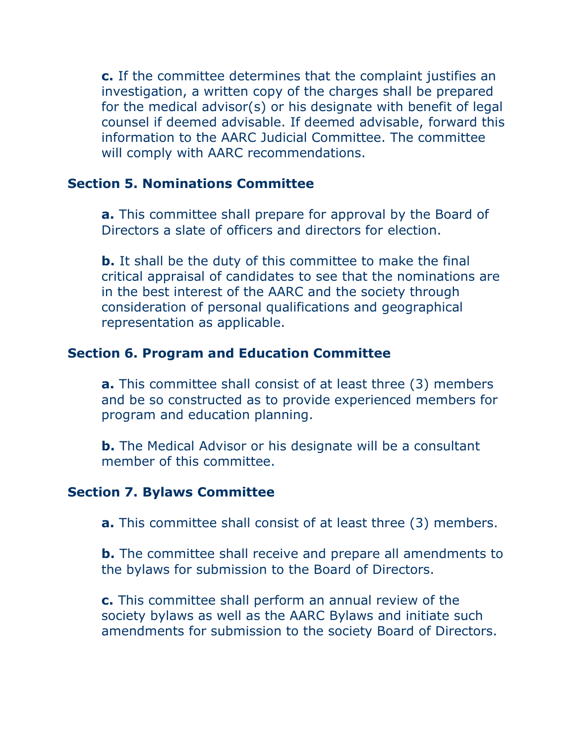**c.** If the committee determines that the complaint justifies an investigation, a written copy of the charges shall be prepared for the medical advisor(s) or his designate with benefit of legal counsel if deemed advisable. If deemed advisable, forward this information to the AARC Judicial Committee. The committee will comply with AARC recommendations.

#### **Section 5. Nominations Committee**

**a.** This committee shall prepare for approval by the Board of Directors a slate of officers and directors for election.

**b.** It shall be the duty of this committee to make the final critical appraisal of candidates to see that the nominations are in the best interest of the AARC and the society through consideration of personal qualifications and geographical representation as applicable.

# **Section 6. Program and Education Committee**

**a.** This committee shall consist of at least three (3) members and be so constructed as to provide experienced members for program and education planning.

**b.** The Medical Advisor or his designate will be a consultant member of this committee.

# **Section 7. Bylaws Committee**

**a.** This committee shall consist of at least three (3) members.

**b.** The committee shall receive and prepare all amendments to the bylaws for submission to the Board of Directors.

**c.** This committee shall perform an annual review of the society bylaws as well as the AARC Bylaws and initiate such amendments for submission to the society Board of Directors.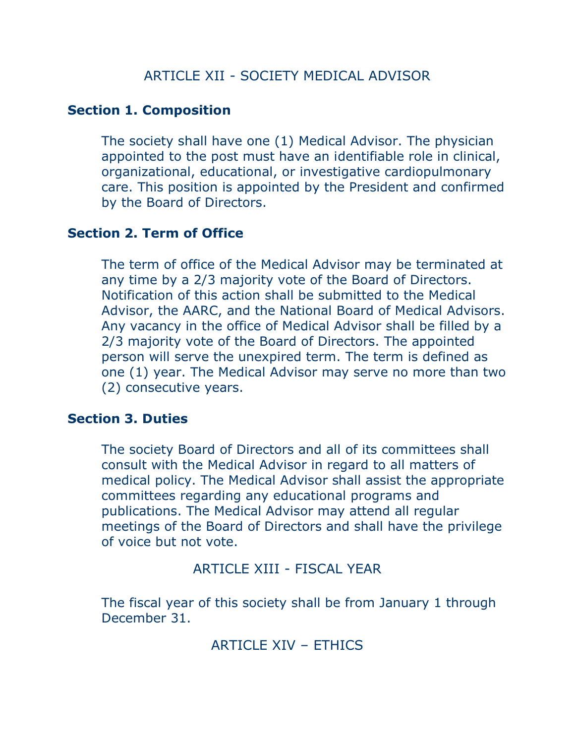# **Section 1. Composition**

The society shall have one (1) Medical Advisor. The physician appointed to the post must have an identifiable role in clinical, organizational, educational, or investigative cardiopulmonary care. This position is appointed by the President and confirmed by the Board of Directors.

# **Section 2. Term of Office**

The term of office of the Medical Advisor may be terminated at any time by a 2/3 majority vote of the Board of Directors. Notification of this action shall be submitted to the Medical Advisor, the AARC, and the National Board of Medical Advisors. Any vacancy in the office of Medical Advisor shall be filled by a 2/3 majority vote of the Board of Directors. The appointed person will serve the unexpired term. The term is defined as one (1) year. The Medical Advisor may serve no more than two (2) consecutive years.

#### **Section 3. Duties**

The society Board of Directors and all of its committees shall consult with the Medical Advisor in regard to all matters of medical policy. The Medical Advisor shall assist the appropriate committees regarding any educational programs and publications. The Medical Advisor may attend all regular meetings of the Board of Directors and shall have the privilege of voice but not vote.

ARTICLE XIII - FISCAL YEAR

The fiscal year of this society shall be from January 1 through December 31.

ARTICLE XIV – ETHICS